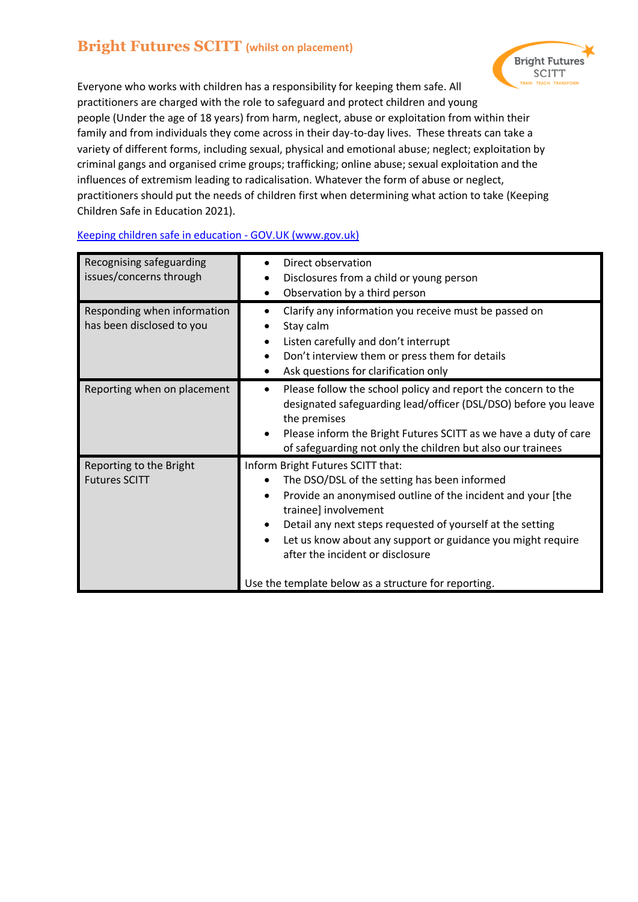# **Bright Futures SCITT (whilst on placement)**



Everyone who works with children has a responsibility for keeping them safe. All practitioners are charged with the role to safeguard and protect children and young people (Under the age of 18 years) from harm, neglect, abuse or exploitation from within their family and from individuals they come across in their day-to-day lives. These threats can take a variety of different forms, including sexual, physical and emotional abuse; neglect; exploitation by criminal gangs and organised crime groups; trafficking; online abuse; sexual exploitation and the influences of extremism leading to radicalisation. Whatever the form of abuse or neglect, practitioners should put the needs of children first when determining what action to take (Keeping Children Safe in Education 2021).

| Recognising safeguarding<br>issues/concerns through      | Direct observation<br>Disclosures from a child or young person<br>Observation by a third person                                                                                                                                                                                                                                                                                                   |
|----------------------------------------------------------|---------------------------------------------------------------------------------------------------------------------------------------------------------------------------------------------------------------------------------------------------------------------------------------------------------------------------------------------------------------------------------------------------|
| Responding when information<br>has been disclosed to you | Clarify any information you receive must be passed on<br>Stay calm<br>Listen carefully and don't interrupt<br>Don't interview them or press them for details<br>Ask questions for clarification only                                                                                                                                                                                              |
| Reporting when on placement                              | Please follow the school policy and report the concern to the<br>٠<br>designated safeguarding lead/officer (DSL/DSO) before you leave<br>the premises<br>Please inform the Bright Futures SCITT as we have a duty of care<br>of safeguarding not only the children but also our trainees                                                                                                          |
| Reporting to the Bright<br><b>Futures SCITT</b>          | Inform Bright Futures SCITT that:<br>The DSO/DSL of the setting has been informed<br>Provide an anonymised outline of the incident and your [the<br>trainee] involvement<br>Detail any next steps requested of yourself at the setting<br>Let us know about any support or guidance you might require<br>after the incident or disclosure<br>Use the template below as a structure for reporting. |

### [Keeping children safe in education -](https://www.gov.uk/government/publications/keeping-children-safe-in-education--2) GOV.UK (www.gov.uk)